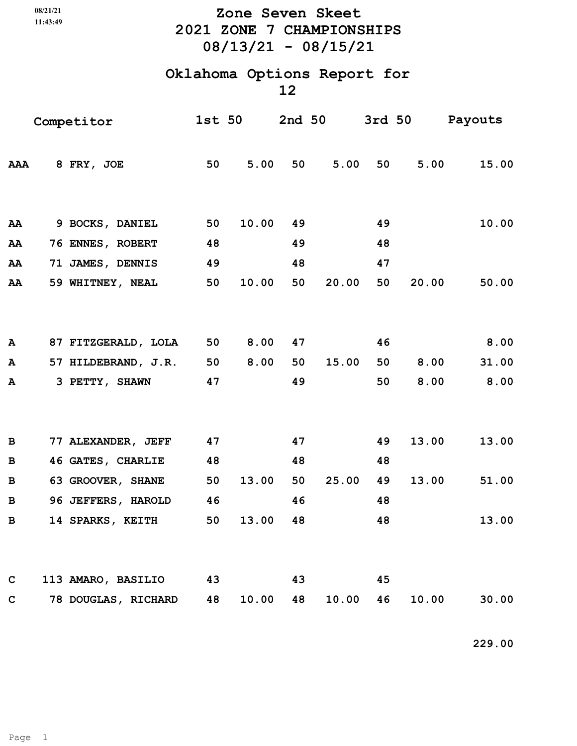**11:43:49**

## **2021 ZONE 7 CHAMPIONSHIPS 08/13/21 - 08/15/21 08/21/21 Zone Seven Skeet**

## **Oklahoma Options Report for**

**12**

| Competitor   |  |                     |    | <b>1st 50</b> |    |       |    |       | 2nd 50 3rd 50 Payouts |
|--------------|--|---------------------|----|---------------|----|-------|----|-------|-----------------------|
| AAA          |  | 8 FRY, JOE          | 50 | 5.00          | 50 | 5.00  | 50 | 5.00  | 15.00                 |
| AA           |  | 9 BOCKS, DANIEL     | 50 | 10.00         | 49 |       | 49 |       | 10.00                 |
| AA           |  | 76 ENNES, ROBERT    | 48 |               | 49 |       | 48 |       |                       |
| AA           |  | 71 JAMES, DENNIS    | 49 |               | 48 |       | 47 |       |                       |
| AA           |  | 59 WHITNEY, NEAL    | 50 | 10.00         | 50 | 20.00 | 50 | 20.00 | 50.00                 |
|              |  |                     |    |               |    |       |    |       |                       |
|              |  |                     |    |               |    |       |    |       |                       |
| A            |  | 87 FITZGERALD, LOLA | 50 | 8.00          | 47 |       | 46 |       | 8.00                  |
| A            |  | 57 HILDEBRAND, J.R. | 50 | 8.00          | 50 | 15.00 | 50 | 8.00  | 31.00                 |
| A            |  | 3 PETTY, SHAWN      | 47 |               | 49 |       | 50 | 8.00  | 8.00                  |
|              |  |                     |    |               |    |       |    |       |                       |
| $\, {\bf B}$ |  | 77 ALEXANDER, JEFF  | 47 |               | 47 |       | 49 | 13.00 | 13.00                 |
| $\, {\bf B}$ |  | 46 GATES, CHARLIE   | 48 |               | 48 |       | 48 |       |                       |
| в            |  | 63 GROOVER, SHANE   | 50 | 13.00         | 50 | 25.00 | 49 | 13.00 | 51.00                 |
| $\, {\bf B}$ |  | 96 JEFFERS, HAROLD  | 46 |               | 46 |       | 48 |       |                       |
| $\, {\bf B}$ |  | 14 SPARKS, KEITH    | 50 | 13.00         | 48 |       | 48 |       | 13.00                 |
|              |  |                     |    |               |    |       |    |       |                       |
| $\mathbf C$  |  | 113 AMARO, BASILIO  | 43 |               | 43 |       | 45 |       |                       |
| $\mathbf C$  |  | 78 DOUGLAS, RICHARD | 48 | 10.00         | 48 | 10.00 | 46 | 10.00 | 30.00                 |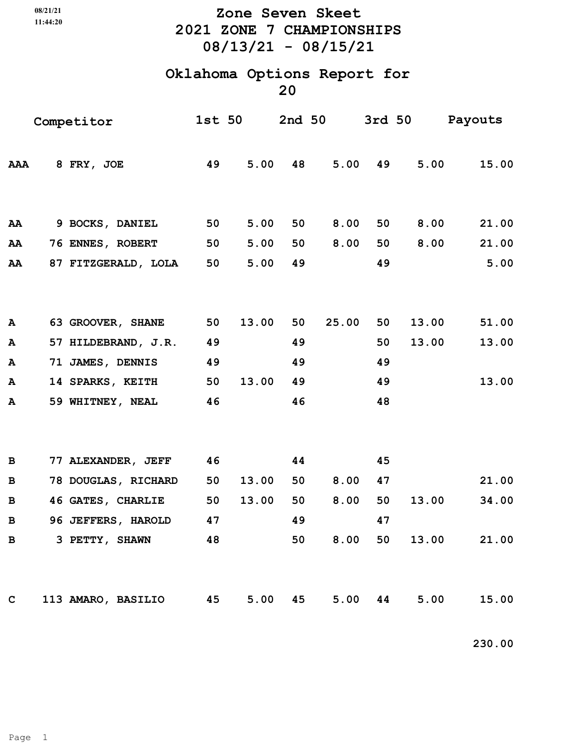**11:44:20**

## **2021 ZONE 7 CHAMPIONSHIPS 08/13/21 - 08/15/21 08/21/21 Zone Seven Skeet**

# **Oklahoma Options Report for**

**20**

| Competitor  |  |                          |    | <b>1st 50</b> |    |       |    |       | 2nd 50 3rd 50 Payouts |
|-------------|--|--------------------------|----|---------------|----|-------|----|-------|-----------------------|
| <b>AAA</b>  |  | 8 FRY, JOE               | 49 | 5.00          | 48 | 5.00  | 49 | 5.00  | 15.00                 |
|             |  |                          |    |               |    |       |    |       |                       |
| AA          |  | 9 BOCKS, DANIEL          | 50 | 5.00          | 50 | 8.00  | 50 | 8.00  | 21.00                 |
| AA          |  | <b>76 ENNES, ROBERT</b>  | 50 | 5.00          | 50 | 8.00  | 50 | 8.00  | 21.00                 |
| AA          |  | 87 FITZGERALD, LOLA      | 50 | 5.00          | 49 |       | 49 |       | 5.00                  |
|             |  |                          |    |               |    |       |    |       |                       |
| A           |  | 63 GROOVER, SHANE        | 50 | 13.00         | 50 | 25.00 | 50 | 13.00 | 51.00                 |
| ${\bf A}$   |  | 57 HILDEBRAND, J.R.      | 49 |               | 49 |       | 50 | 13.00 | 13.00                 |
| ${\bf A}$   |  | 71 JAMES, DENNIS         | 49 |               | 49 |       | 49 |       |                       |
| A           |  | 14 SPARKS, KEITH         | 50 | 13.00         | 49 |       | 49 |       | 13.00                 |
| A           |  | 59 WHITNEY, NEAL         | 46 |               | 46 |       | 48 |       |                       |
|             |  |                          |    |               |    |       |    |       |                       |
| B           |  | 77 ALEXANDER, JEFF       | 46 |               | 44 |       | 45 |       |                       |
| B           |  | 78 DOUGLAS, RICHARD      | 50 | 13.00         | 50 | 8.00  | 47 |       | 21.00                 |
| B           |  | <b>46 GATES, CHARLIE</b> | 50 | 13.00         | 50 | 8.00  | 50 | 13.00 | 34.00                 |
| $\mathbf B$ |  | 96 JEFFERS, HAROLD       | 47 |               | 49 |       | 47 |       |                       |
| в           |  | 3 PETTY, SHAWN           | 48 |               | 50 | 8.00  | 50 | 13.00 | 21.00                 |
|             |  |                          |    |               |    |       |    |       |                       |
|             |  |                          |    |               |    |       |    |       |                       |
| $\mathbf C$ |  | 113 AMARO, BASILIO       | 45 | 5.00          | 45 | 5.00  | 44 | 5.00  | 15.00                 |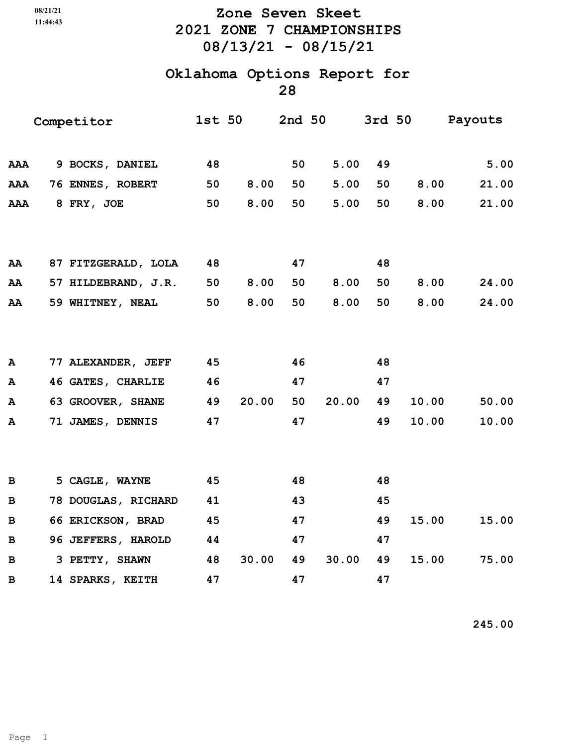## **11:44:43**

## **2021 ZONE 7 CHAMPIONSHIPS 08/13/21 - 08/15/21 08/21/21 Zone Seven Skeet**

#### **Oklahoma Options Report for 28**

| Competitor   |  |                     | <b>1st 50</b> |       | 2nd 50 |       |    | 3rd 50 Payouts |       |
|--------------|--|---------------------|---------------|-------|--------|-------|----|----------------|-------|
| AAA          |  | 9 BOCKS, DANIEL     | 48            |       | 50     | 5.00  | 49 |                | 5.00  |
| AAA          |  | 76 ENNES, ROBERT    | 50            | 8.00  | 50     | 5.00  | 50 | 8.00           | 21.00 |
| AAA          |  | 8 FRY, JOE          | 50            | 8.00  | 50     | 5.00  | 50 | 8.00           | 21.00 |
|              |  |                     |               |       |        |       |    |                |       |
| AA           |  | 87 FITZGERALD, LOLA | 48            |       | 47     |       | 48 |                |       |
| AA           |  | 57 HILDEBRAND, J.R. | 50            | 8.00  | 50     | 8.00  | 50 | 8.00           | 24.00 |
| AA           |  | 59 WHITNEY, NEAL    | 50            | 8.00  | 50     | 8.00  | 50 | 8.00           | 24.00 |
|              |  |                     |               |       |        |       |    |                |       |
| A            |  | 77 ALEXANDER, JEFF  | 45            |       | 46     |       | 48 |                |       |
| A            |  | 46 GATES, CHARLIE   | 46            |       | 47     |       | 47 |                |       |
| A            |  | 63 GROOVER, SHANE   | 49            | 20.00 | 50     | 20.00 | 49 | 10.00          | 50.00 |
| $\mathbf{A}$ |  | 71 JAMES, DENNIS    | 47            |       | 47     |       | 49 | 10.00          | 10.00 |
|              |  |                     |               |       |        |       |    |                |       |
| $\, {\bf B}$ |  | 5 CAGLE, WAYNE      | 45            |       | 48     |       | 48 |                |       |
| в            |  | 78 DOUGLAS, RICHARD | 41            |       | 43     |       | 45 |                |       |
| B            |  | 66 ERICKSON, BRAD   | 45            |       | 47     |       | 49 | 15.00          | 15.00 |
| $\, {\bf B}$ |  | 96 JEFFERS, HAROLD  | 44            |       | 47     |       | 47 |                |       |
| B            |  | 3 PETTY, SHAWN      | 48            | 30.00 | 49     | 30.00 | 49 | 15.00          | 75.00 |
| B            |  | 14 SPARKS, KEITH    | 47            |       | 47     |       | 47 |                |       |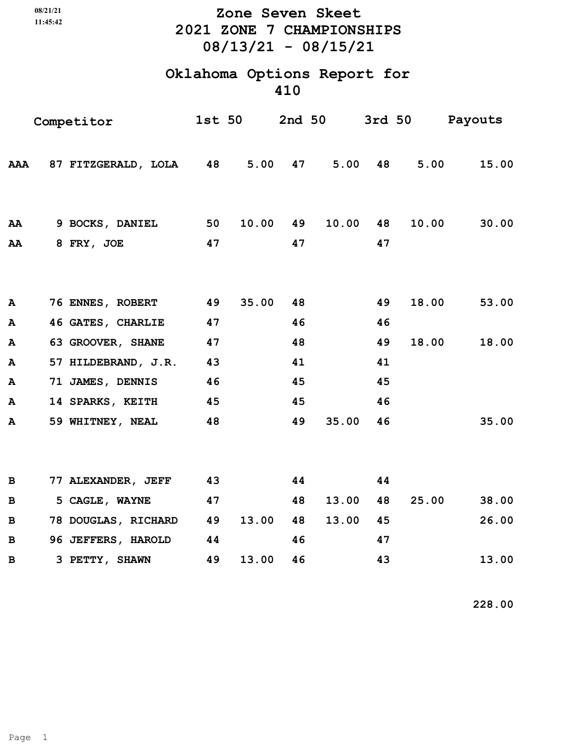## **2021 ZONE 7 CHAMPIONSHIPS 08/13/21 - 08/15/21 08/21/21 Zone Seven Skeet**

## **Oklahoma Options Report for 410**

| Competitor   |  |                               |          | <b>1st 50</b> |          |            |          |         | 2nd 50 3rd 50 Payouts |
|--------------|--|-------------------------------|----------|---------------|----------|------------|----------|---------|-----------------------|
| <b>AAA</b>   |  | 87 FITZGERALD, LOLA 48 5.00   |          |               |          | 5.00<br>47 |          | 48 5.00 | 15.00                 |
| AA<br>AA     |  | 9 BOCKS, DANIEL<br>8 FRY, JOE | 50<br>47 | 10.00         | 49<br>47 | 10.00      | 48<br>47 | 10.00   | 30.00                 |
|              |  |                               |          |               |          |            |          |         |                       |
| ${\bf A}$    |  | 76 ENNES, ROBERT              | 49       | 35.00         | 48       |            | 49       | 18.00   | 53.00                 |
| A            |  | 46 GATES, CHARLIE             | 47       |               | 46       |            | 46       |         |                       |
| A            |  | 63 GROOVER, SHANE             | 47       |               | 48       |            | 49       | 18.00   | 18.00                 |
| ${\bf A}$    |  | 57 HILDEBRAND, J.R. 43        |          |               | 41       |            | 41       |         |                       |
| $\mathbf{A}$ |  | 71 JAMES, DENNIS              | 46       |               | 45       |            | 45       |         |                       |
| $\mathbf{A}$ |  | 14 SPARKS, KEITH 45           |          |               | 45       |            | 46       |         |                       |
| ${\bf A}$    |  | 59 WHITNEY, NEAL              | 48       |               | 49       | 35.00      | 46       |         | 35.00                 |
|              |  |                               |          |               |          |            |          |         |                       |
| B            |  | 77 ALEXANDER, JEFF            | 43       |               | 44       |            | 44       |         |                       |
| $\mathbf B$  |  | 5 CAGLE, WAYNE                | 47       |               | 48       | 13.00      | 48       | 25.00   | 38.00                 |
| $\, {\bf B}$ |  | 78 DOUGLAS, RICHARD 49        |          | 13.00         | 48       | 13.00      | 45       |         | 26.00                 |
| $\mathbf B$  |  | 96 JEFFERS, HAROLD            | 44       |               | 46       |            | 47       |         |                       |
| B            |  | 3 PETTY, SHAWN                | 49       | 13.00         | 46       |            | 43       |         | 13.00                 |

 **228.00**

**11:45:42**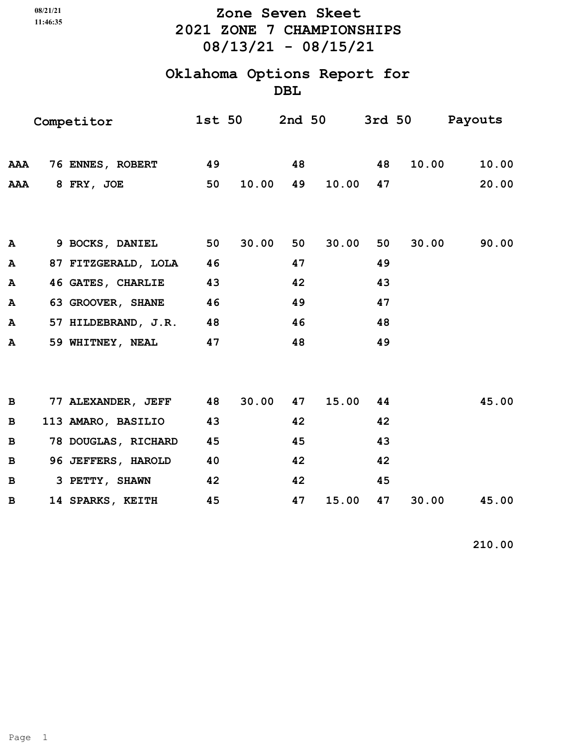|              | 08/21/21<br>11:46:35 |                                           |    | Zone Seven Skeet<br>2021 ZONE 7 CHAMPIONSHIPS<br>$08/13/21 - 08/15/21$ |    |             |    |       |                       |  |  |  |
|--------------|----------------------|-------------------------------------------|----|------------------------------------------------------------------------|----|-------------|----|-------|-----------------------|--|--|--|
|              |                      | Oklahoma Options Report for<br><b>DBL</b> |    |                                                                        |    |             |    |       |                       |  |  |  |
|              |                      | Competitor                                |    | 1st 50                                                                 |    |             |    |       | 2nd 50 3rd 50 Payouts |  |  |  |
|              |                      | AAA 76 ENNES, ROBERT                      | 49 |                                                                        | 48 |             | 48 | 10.00 | 10.00                 |  |  |  |
|              |                      | AAA 8 FRY, JOE                            | 50 | 10.00                                                                  | 49 | 10.00       | 47 |       | 20.00                 |  |  |  |
| A            |                      | 9 BOCKS, DANIEL                           | 50 | 30.00                                                                  | 50 | 30.00       | 50 | 30.00 | 90.00                 |  |  |  |
| A            |                      | 87 FITZGERALD, LOLA 46                    |    |                                                                        | 47 |             | 49 |       |                       |  |  |  |
| A            |                      | 46 GATES, CHARLIE                         | 43 |                                                                        | 42 |             | 43 |       |                       |  |  |  |
| A            |                      | 63 GROOVER, SHANE                         | 46 |                                                                        | 49 |             | 47 |       |                       |  |  |  |
| A            |                      | 57 HILDEBRAND, J.R. 48                    |    |                                                                        | 46 |             | 48 |       |                       |  |  |  |
| А            |                      | 59 WHITNEY, NEAL                          | 47 |                                                                        | 48 |             | 49 |       |                       |  |  |  |
| B            |                      | 77 ALEXANDER, JEFF 48                     |    | 30.00                                                                  |    | 15.00<br>47 | 44 |       | 45.00                 |  |  |  |
| B            |                      | 113 AMARO, BASILIO                        | 43 |                                                                        | 42 |             | 42 |       |                       |  |  |  |
| $\, {\bf B}$ |                      | 78 DOUGLAS, RICHARD                       | 45 |                                                                        | 45 |             | 43 |       |                       |  |  |  |
| $\, {\bf B}$ |                      | 96 JEFFERS, HAROLD                        | 40 |                                                                        | 42 |             | 42 |       |                       |  |  |  |
| В            |                      | 3 PETTY, SHAWN                            | 42 |                                                                        | 42 |             | 45 |       |                       |  |  |  |
| В            |                      | 14 SPARKS, KEITH                          | 45 |                                                                        | 47 | 15.00       | 47 | 30.00 | 45.00                 |  |  |  |